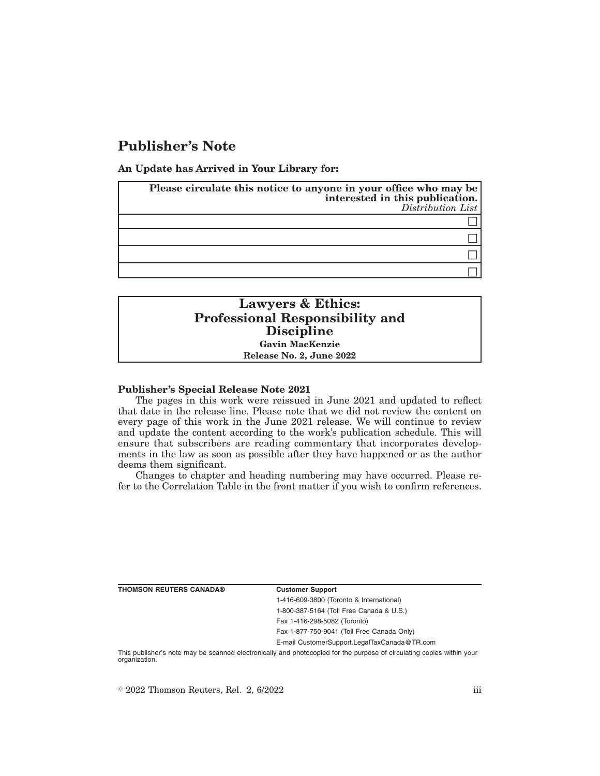# **Publisher's Note**

**An Update has Arrived in Your Library for:**

| Please circulate this notice to anyone in your office who may be<br>interested in this publication.<br>Distribution List |
|--------------------------------------------------------------------------------------------------------------------------|
|                                                                                                                          |
|                                                                                                                          |
|                                                                                                                          |
|                                                                                                                          |

## **Lawyers & Ethics: Professional Responsibility and Discipline Gavin MacKenzie Release No. 2, June 2022**

### **Publisher's Special Release Note 2021**

The pages in this work were reissued in June 2021 and updated to reflect that date in the release line. Please note that we did not review the content on every page of this work in the June 2021 release. We will continue to review and update the content according to the work's publication schedule. This will ensure that subscribers are reading commentary that incorporates developments in the law as soon as possible after they have happened or as the author deems them significant.

Changes to chapter and heading numbering may have occurred. Please refer to the Correlation Table in the front matter if you wish to confirm references.

**THOMSON REUTERS CANADA® Customer Support**

1-416-609-3800 (Toronto & International) 1-800-387-5164 (Toll Free Canada & U.S.) Fax 1-416-298-5082 (Toronto) Fax 1-877-750-9041 (Toll Free Canada Only)

E-mail CustomerSupport.LegalTaxCanada@TR.com

This publisher's note may be scanned electronically and photocopied for the purpose of circulating copies within your organization.

 $\degree$  2022 Thomson Reuters, Rel. 2, 6/2022 iii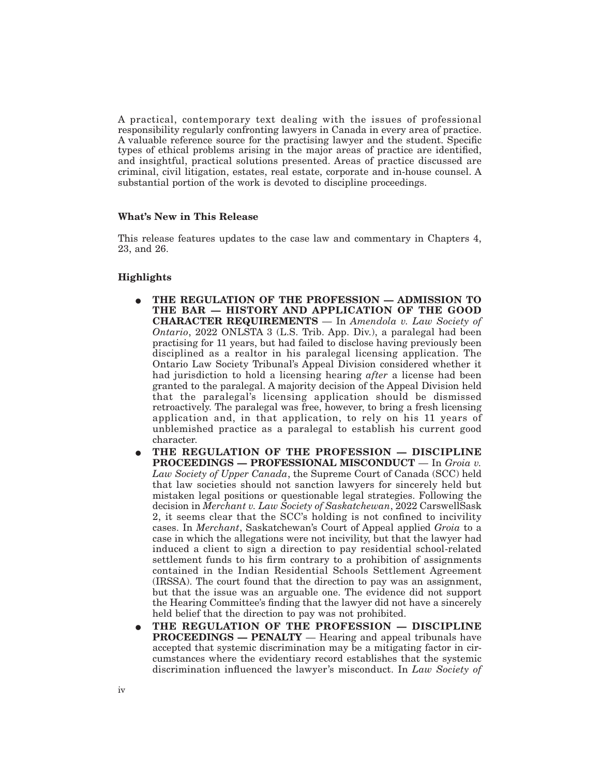A practical, contemporary text dealing with the issues of professional responsibility regularly confronting lawyers in Canada in every area of practice. A valuable reference source for the practising lawyer and the student. Specific types of ethical problems arising in the major areas of practice are identified, and insightful, practical solutions presented. Areas of practice discussed are criminal, civil litigation, estates, real estate, corporate and in-house counsel. A substantial portion of the work is devoted to discipline proceedings.

### **What's New in This Release**

This release features updates to the case law and commentary in Chapters 4, 23, and 26.

### **Highlights**

- E **THE REGULATION OF THE PROFESSION ADMISSION TO THE BAR — HISTORY AND APPLICATION OF THE GOOD CHARACTER REQUIREMENTS** — In *Amendola v. Law Society of Ontario*, 2022 ONLSTA 3 (L.S. Trib. App. Div.), a paralegal had been practising for 11 years, but had failed to disclose having previously been disciplined as a realtor in his paralegal licensing application. The Ontario Law Society Tribunal's Appeal Division considered whether it had jurisdiction to hold a licensing hearing *after* a license had been granted to the paralegal. A majority decision of the Appeal Division held that the paralegal's licensing application should be dismissed retroactively. The paralegal was free, however, to bring a fresh licensing application and, in that application, to rely on his 11 years of unblemished practice as a paralegal to establish his current good character.
- E **THE REGULATION OF THE PROFESSION DISCIPLINE PROCEEDINGS — PROFESSIONAL MISCONDUCT** — In *Groia v. Law Society of Upper Canada*, the Supreme Court of Canada (SCC) held that law societies should not sanction lawyers for sincerely held but mistaken legal positions or questionable legal strategies. Following the decision in *Merchant v. Law Society of Saskatchewan*, 2022 CarswellSask 2, it seems clear that the SCC's holding is not confined to incivility cases. In *Merchant*, Saskatchewan's Court of Appeal applied *Groia* to a case in which the allegations were not incivility, but that the lawyer had induced a client to sign a direction to pay residential school-related settlement funds to his firm contrary to a prohibition of assignments contained in the Indian Residential Schools Settlement Agreement (IRSSA). The court found that the direction to pay was an assignment, but that the issue was an arguable one. The evidence did not support the Hearing Committee's finding that the lawyer did not have a sincerely held belief that the direction to pay was not prohibited.
- E **THE REGULATION OF THE PROFESSION DISCIPLINE PROCEEDINGS — PENALTY** — Hearing and appeal tribunals have accepted that systemic discrimination may be a mitigating factor in circumstances where the evidentiary record establishes that the systemic discrimination influenced the lawyer's misconduct. In *Law Society of*